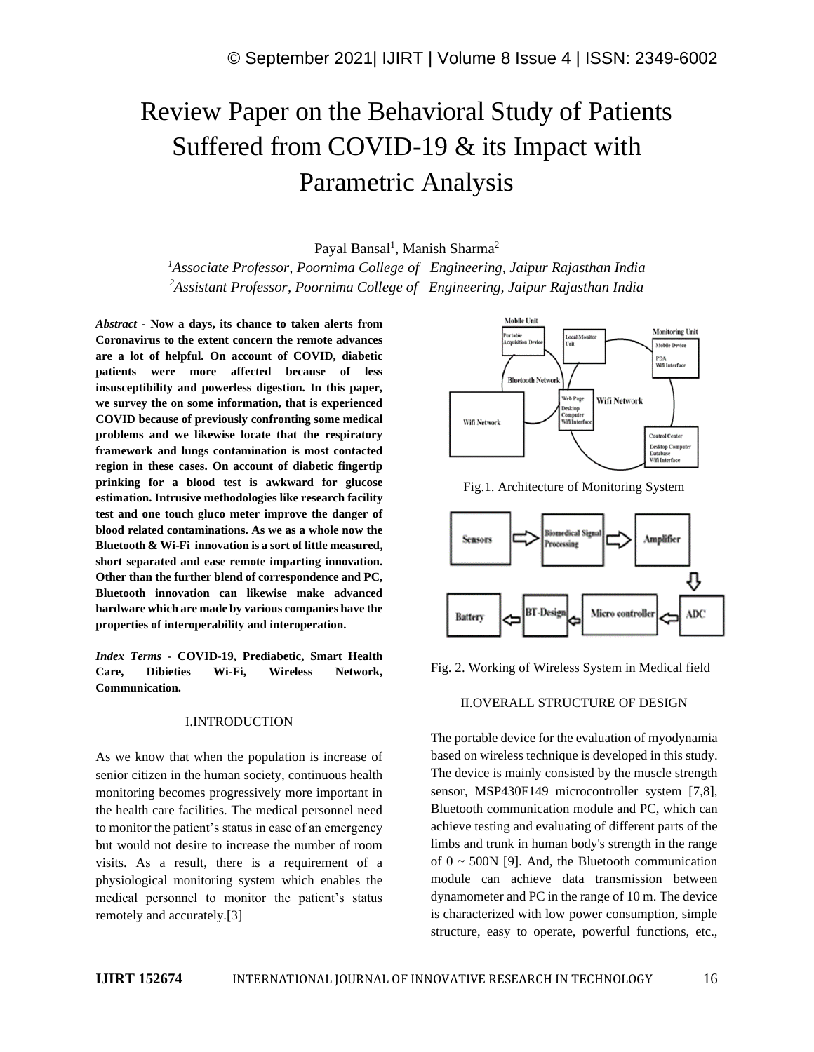# Review Paper on the Behavioral Study of Patients Suffered from COVID-19 & its Impact with Parametric Analysis

Payal Bansal<sup>1</sup>, Manish Sharma<sup>2</sup>

*<sup>1</sup>Associate Professor, Poornima College of Engineering, Jaipur Rajasthan India <sup>2</sup>Assistant Professor, Poornima College of Engineering, Jaipur Rajasthan India*

*Abstract -* **Now a days, its chance to taken alerts from Coronavirus to the extent concern the remote advances are a lot of helpful. On account of COVID, diabetic patients were more affected because of less insusceptibility and powerless digestion. In this paper, we survey the on some information, that is experienced COVID because of previously confronting some medical problems and we likewise locate that the respiratory framework and lungs contamination is most contacted region in these cases. On account of diabetic fingertip prinking for a blood test is awkward for glucose estimation. Intrusive methodologies like research facility test and one touch gluco meter improve the danger of blood related contaminations. As we as a whole now the Bluetooth & Wi-Fi innovation is a sort of little measured, short separated and ease remote imparting innovation. Other than the further blend of correspondence and PC, Bluetooth innovation can likewise make advanced hardware which are made by various companies have the properties of interoperability and interoperation.**

*Index Terms -* **COVID-19, Prediabetic, Smart Health Care, Dibieties Wi-Fi, Wireless Network, Communication.**

#### I.INTRODUCTION

As we know that when the population is increase of senior citizen in the human society, continuous health monitoring becomes progressively more important in the health care facilities. The medical personnel need to monitor the patient's status in case of an emergency but would not desire to increase the number of room visits. As a result, there is a requirement of a physiological monitoring system which enables the medical personnel to monitor the patient's status remotely and accurately.[3]



Fig.1. Architecture of Monitoring System



Fig. 2. Working of Wireless System in Medical field

### II.OVERALL STRUCTURE OF DESIGN

The portable device for the evaluation of myodynamia based on wireless technique is developed in this study. The device is mainly consisted by the muscle strength sensor, MSP430F149 microcontroller system [7,8], Bluetooth communication module and PC, which can achieve testing and evaluating of different parts of the limbs and trunk in human body's strength in the range of  $0 \sim 500N$  [9]. And, the Bluetooth communication module can achieve data transmission between dynamometer and PC in the range of 10 m. The device is characterized with low power consumption, simple structure, easy to operate, powerful functions, etc.,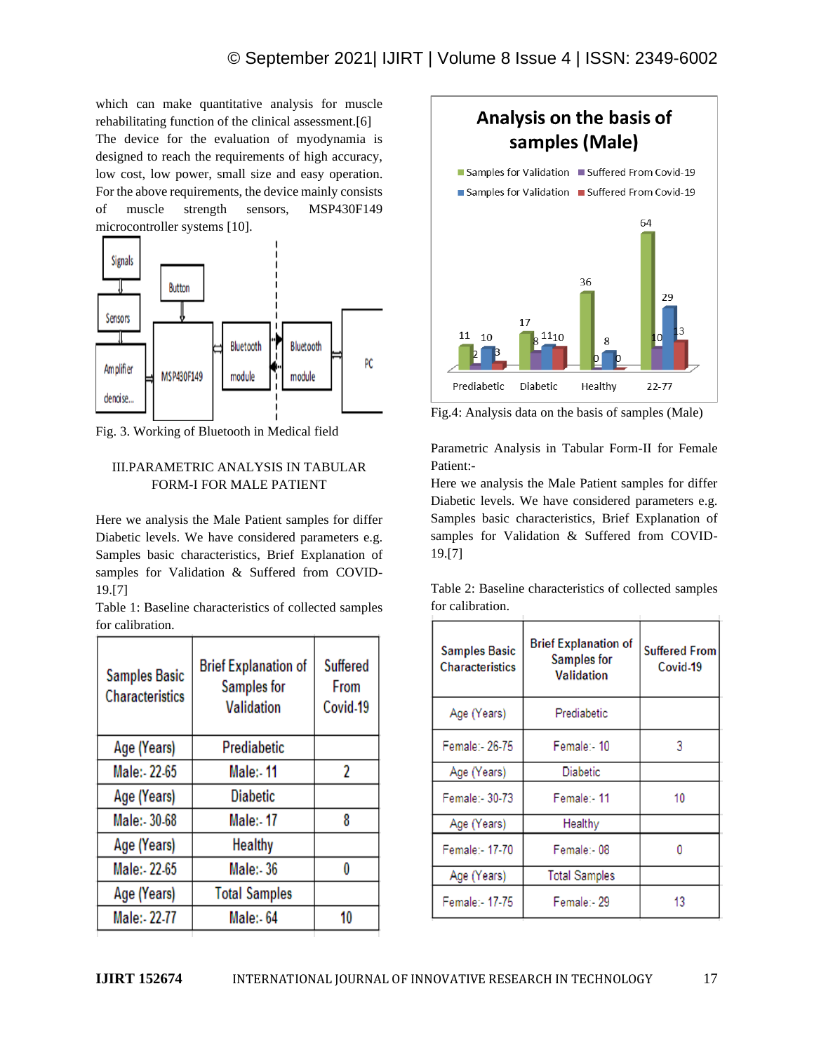which can make quantitative analysis for muscle rehabilitating function of the clinical assessment.[6] The device for the evaluation of myodynamia is designed to reach the requirements of high accuracy, low cost, low power, small size and easy operation. For the above requirements, the device mainly consists of muscle strength sensors, MSP430F149 microcontroller systems [10].



Fig. 3. Working of Bluetooth in Medical field

## III.PARAMETRIC ANALYSIS IN TABULAR FORM-I FOR MALE PATIENT

Here we analysis the Male Patient samples for differ Diabetic levels. We have considered parameters e.g. Samples basic characteristics, Brief Explanation of samples for Validation & Suffered from COVID-19.[7]

Table 1: Baseline characteristics of collected samples for calibration.

| <b>Samples Basic</b><br><b>Characteristics</b> | <b>Brief Explanation of</b><br>Samples for<br><b>Validation</b> | Suffered<br>From<br>Covid-19 |
|------------------------------------------------|-----------------------------------------------------------------|------------------------------|
| Age (Years)                                    | Prediabetic                                                     |                              |
| Male: - 22-65                                  | <b>Male:-11</b>                                                 | 2                            |
| Age (Years)                                    | <b>Diabetic</b>                                                 |                              |
| Male: - 30-68                                  | Male: - 17                                                      | 8                            |
| Age (Years)                                    | Healthy                                                         |                              |
| Male: - 22-65                                  | Male: 36                                                        | O                            |
| Age (Years)                                    | <b>Total Samples</b>                                            |                              |
| Male:- 22-77                                   | Male:- 64                                                       | 10                           |
|                                                |                                                                 |                              |



Fig.4: Analysis data on the basis of samples (Male)

Parametric Analysis in Tabular Form-II for Female Patient:-

Here we analysis the Male Patient samples for differ Diabetic levels. We have considered parameters e.g. Samples basic characteristics, Brief Explanation of samples for Validation & Suffered from COVID-19.[7]

Table 2: Baseline characteristics of collected samples for calibration.

| <b>Samples Basic</b><br><b>Characteristics</b> | <b>Brief Explanation of</b><br><b>Samples for</b><br><b>Validation</b> | <b>Suffered From</b><br>Covid-19 |
|------------------------------------------------|------------------------------------------------------------------------|----------------------------------|
| Age (Years)                                    | Prediabetic                                                            |                                  |
| Female:- 26-75                                 | Female: - 10                                                           | 3                                |
| Age (Years)                                    | Diabetic                                                               |                                  |
| Female: - 30-73                                | Female:-11                                                             | 10                               |
| Age (Years)                                    | Healthy                                                                |                                  |
| Female: - 17-70                                | Female:-08                                                             |                                  |
| Age (Years)                                    | <b>Total Samples</b>                                                   |                                  |
| Female:- 17-75                                 | Female:- 29                                                            | 13                               |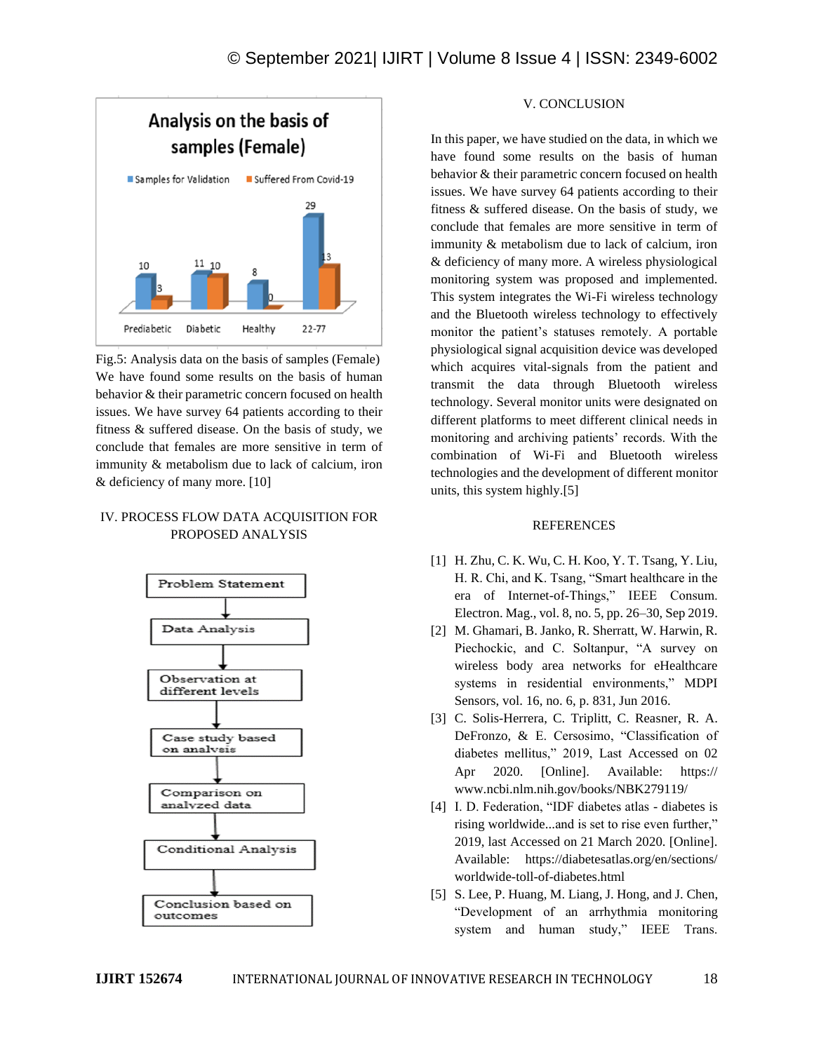

Fig.5: Analysis data on the basis of samples (Female) We have found some results on the basis of human behavior & their parametric concern focused on health issues. We have survey 64 patients according to their fitness & suffered disease. On the basis of study, we conclude that females are more sensitive in term of immunity & metabolism due to lack of calcium, iron & deficiency of many more. [10]

## IV. PROCESS FLOW DATA ACQUISITION FOR PROPOSED ANALYSIS



## V. CONCLUSION

In this paper, we have studied on the data, in which we have found some results on the basis of human behavior & their parametric concern focused on health issues. We have survey 64 patients according to their fitness & suffered disease. On the basis of study, we conclude that females are more sensitive in term of immunity & metabolism due to lack of calcium, iron & deficiency of many more. A wireless physiological monitoring system was proposed and implemented. This system integrates the Wi-Fi wireless technology and the Bluetooth wireless technology to effectively monitor the patient's statuses remotely. A portable physiological signal acquisition device was developed which acquires vital-signals from the patient and transmit the data through Bluetooth wireless technology. Several monitor units were designated on different platforms to meet different clinical needs in monitoring and archiving patients' records. With the combination of Wi-Fi and Bluetooth wireless technologies and the development of different monitor units, this system highly.[5]

#### REFERENCES

- [1] H. Zhu, C. K. Wu, C. H. Koo, Y. T. Tsang, Y. Liu, H. R. Chi, and K. Tsang, "Smart healthcare in the era of Internet-of-Things," IEEE Consum. Electron. Mag., vol. 8, no. 5, pp. 26–30, Sep 2019.
- [2] M. Ghamari, B. Janko, R. Sherratt, W. Harwin, R. Piechockic, and C. Soltanpur, "A survey on wireless body area networks for eHealthcare systems in residential environments," MDPI Sensors, vol. 16, no. 6, p. 831, Jun 2016.
- [3] C. Solis-Herrera, C. Triplitt, C. Reasner, R. A. DeFronzo, & E. Cersosimo, "Classification of diabetes mellitus," 2019, Last Accessed on 02 Apr 2020. [Online]. Available: https:// www.ncbi.nlm.nih.gov/books/NBK279119/
- [4] I. D. Federation, "IDF diabetes atlas diabetes is rising worldwide...and is set to rise even further," 2019, last Accessed on 21 March 2020. [Online]. Available: https://diabetesatlas.org/en/sections/ worldwide-toll-of-diabetes.html
- [5] S. Lee, P. Huang, M. Liang, J. Hong, and J. Chen, "Development of an arrhythmia monitoring system and human study," IEEE Trans.